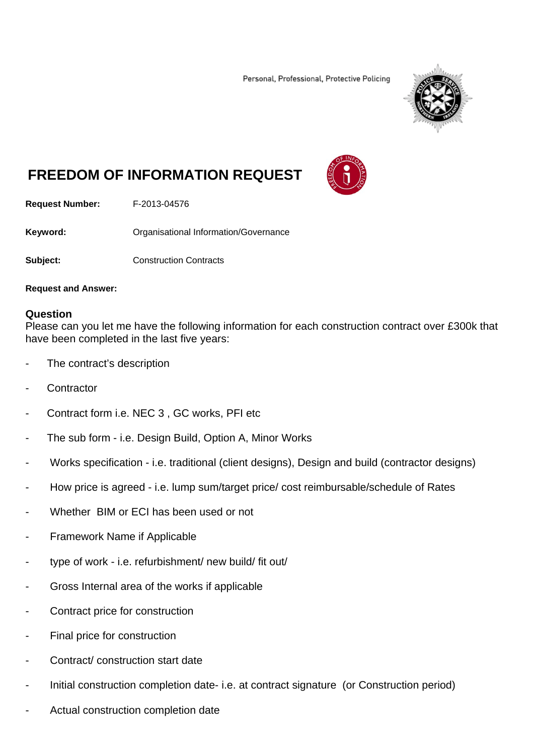Personal, Professional, Protective Policing



## **FREEDOM OF INFORMATION REQUEST**



**Request Number:** F-2013-04576

**Keyword: C**rganisational Information/Governance

**Subject:** Construction Contracts

**Request and Answer:** 

## **Question**

Please can you let me have the following information for each construction contract over £300k that have been completed in the last five years:

- The contract's description
- **Contractor**
- Contract form i.e. NEC 3, GC works, PFI etc
- The sub form i.e. Design Build, Option A, Minor Works
- Works specification i.e. traditional (client designs), Design and build (contractor designs)
- How price is agreed i.e. lump sum/target price/ cost reimbursable/schedule of Rates
- Whether BIM or ECI has been used or not
- Framework Name if Applicable
- type of work i.e. refurbishment/ new build/ fit out/
- Gross Internal area of the works if applicable
- Contract price for construction
- Final price for construction
- Contract/ construction start date
- Initial construction completion date- i.e. at contract signature (or Construction period)
- Actual construction completion date